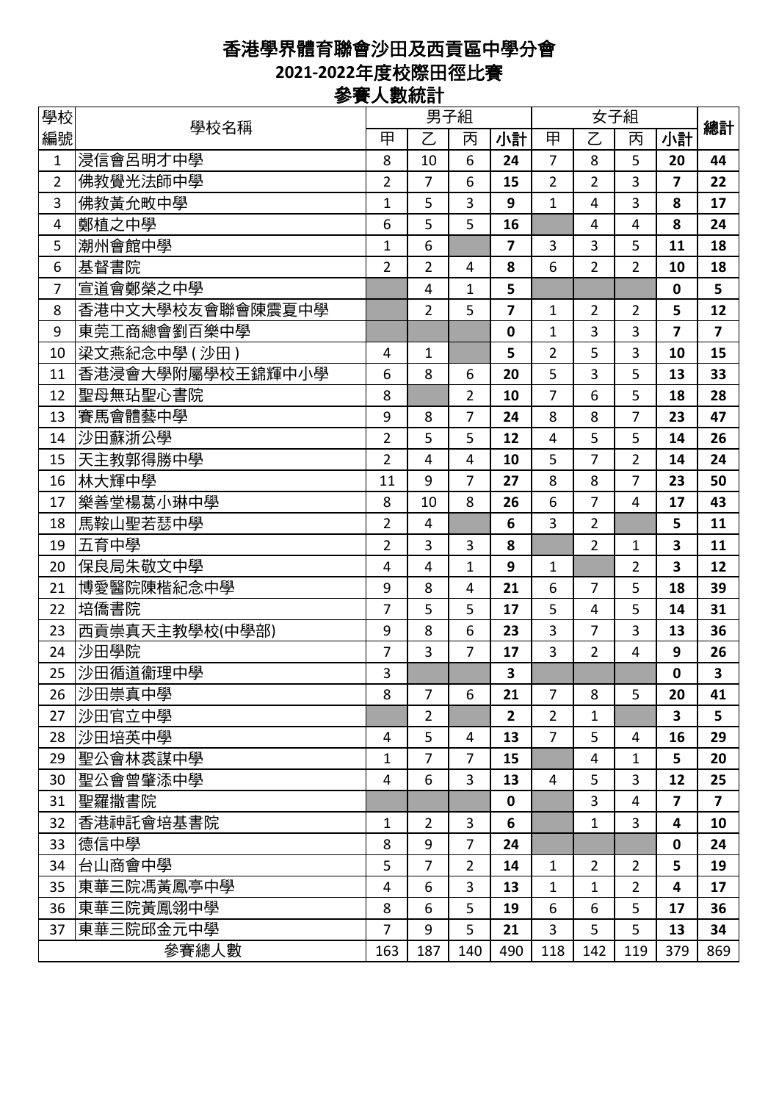## 香港學界體育聯會沙田及西貢區中學分會 **2021-2022**年度校際田徑比賽 參賽人數統計

| 學校             |                  |                |                | 男子組            |                         | 女子組            |                |                |                         |                         |
|----------------|------------------|----------------|----------------|----------------|-------------------------|----------------|----------------|----------------|-------------------------|-------------------------|
| 編號             | 學校名稱             | 甲              | $\overline{C}$ | 丙              | 小計                      | 甲              | $\overline{Z}$ | 丙              | 小計                      | 總計                      |
| 1              | 浸信會呂明才中學         | 8              | 10             | 6              | 24                      | $\overline{7}$ | 8              | 5              | 20                      | 44                      |
| $\overline{2}$ | 佛教覺光法師中學         | $\overline{2}$ | $\overline{7}$ | 6              | 15                      | $\overline{2}$ | $\overline{2}$ | 3              | $\overline{7}$          | 22                      |
| 3              | 佛教黃允畋中學          | $\mathbf{1}$   | 5              | 3              | 9                       | $\mathbf{1}$   | $\overline{4}$ | 3              | 8                       | 17                      |
| 4              | 鄭植之中學            | 6              | 5              | 5              | 16                      |                | 4              | 4              | 8                       | 24                      |
| 5              | 潮州會館中學           | $\mathbf 1$    | 6              |                | $\overline{\mathbf{z}}$ | 3              | 3              | 5              | 11                      | 18                      |
| 6              | 基督書院             | $\overline{2}$ | $\overline{2}$ | $\overline{4}$ | 8                       | 6              | $\overline{2}$ | $\overline{2}$ | 10                      | 18                      |
| $\overline{7}$ | 宣道會鄭榮之中學         |                | $\overline{4}$ | 1              | 5                       |                |                |                | $\mathbf 0$             | 5                       |
| 8              | 香港中文大學校友會聯會陳震夏中學 |                | $\overline{2}$ | 5              | $\overline{\mathbf{z}}$ | 1              | $\overline{2}$ | $\overline{2}$ | 5                       | 12                      |
| 9              | 東莞工商總會劉百樂中學      |                |                |                | $\mathbf 0$             | $\mathbf 1$    | 3              | 3              | $\overline{7}$          | $\overline{\mathbf{z}}$ |
| 10             | 梁文燕紀念中學 ( 沙田 )   | $\overline{4}$ | $\mathbf{1}$   |                | 5                       | $\overline{2}$ | 5              | 3              | 10                      | 15                      |
| 11             | 香港浸會大學附屬學校王錦輝中小學 | 6              | 8              | 6              | 20                      | 5              | 3              | 5              | 13                      | 33                      |
| 12             | 聖母無玷聖心書院         | 8              |                | $\overline{2}$ | 10                      | $\overline{7}$ | 6              | 5              | 18                      | 28                      |
| 13             | 賽馬會體藝中學          | 9              | 8              | $\overline{7}$ | 24                      | 8              | 8              | $\overline{7}$ | 23                      | 47                      |
| 14             | 沙田蘇浙公學           | $\overline{2}$ | 5              | 5              | 12                      | 4              | 5              | 5              | 14                      | 26                      |
| 15             | 天主教郭得勝中學         | $\overline{2}$ | 4              | 4              | 10                      | 5              | 7              | $\overline{2}$ | 14                      | 24                      |
| 16             | 林大輝中學            | 11             | 9              | $\overline{7}$ | 27                      | 8              | 8              | $\overline{7}$ | 23                      | 50                      |
| 17             | 樂善堂楊葛小琳中學        | 8              | 10             | 8              | 26                      | 6              | $\overline{7}$ | 4              | 17                      | 43                      |
| 18             | 馬鞍山聖若瑟中學         | $\overline{2}$ | 4              |                | 6                       | 3              | $\overline{2}$ |                | 5                       | 11                      |
| 19             | 五育中學             | $\overline{2}$ | 3              | 3              | 8                       |                | $\overline{2}$ | $\mathbf{1}$   | 3                       | 11                      |
| 20             | 保良局朱敬文中學         | 4              | $\overline{4}$ | $\mathbf 1$    | 9                       | $\mathbf{1}$   |                | $\overline{2}$ | $\overline{\mathbf{3}}$ | 12                      |
| 21             | 博愛醫院陳楷紀念中學       | 9              | 8              | 4              | 21                      | 6              | $\overline{7}$ | 5              | 18                      | 39                      |
| 22             | 培僑書院             | $\overline{7}$ | 5              | 5              | 17                      | 5              | 4              | 5              | 14                      | 31                      |
| 23             | 西貢崇真天主教學校(中學部)   | 9              | 8              | 6              | 23                      | 3              | 7              | 3              | 13                      | 36                      |
| 24             | 沙田學院             | $\overline{7}$ | $\overline{3}$ | $\overline{7}$ | 17                      | $\overline{3}$ | $\overline{2}$ | 4              | 9                       | 26                      |
| 25             | 沙田循道衞理中學         | 3              |                |                | 3                       |                |                |                | $\mathbf 0$             | 3                       |
| 26             | 沙田崇真中學           | 8              | $\overline{7}$ | 6              | 21                      | $\overline{7}$ | 8              | 5              | 20                      | 41                      |
| 27             | 沙田官立中學           |                | $\overline{2}$ |                | $\overline{2}$          | $\overline{2}$ | $\mathbf{1}$   |                | 3                       | 5                       |
| 28             | 沙田培英中學           | $\overline{4}$ | 5              | 4              | 13                      | $\overline{7}$ | 5              | 4              | 16                      | 29                      |
| 29             | 聖公會林裘謀中學         | 1              | $\overline{7}$ | 7              | 15                      |                | 4              | 1              | 5                       | 20                      |
| 30             | 聖公會曾肇添中學         | $\overline{4}$ | 6              | 3              | 13                      | 4              | 5              | 3              | 12                      | 25                      |
| 31             | 聖羅撒書院            |                |                |                | $\mathbf 0$             |                | 3              | 4              | $\overline{ }$          | $\overline{7}$          |
| 32             | 香港神託會培基書院        | 1              | $\overline{2}$ | 3              | 6                       |                | 1              | 3              | 4                       | 10                      |
| 33             | 德信中學             | 8              | 9              | $\overline{7}$ | 24                      |                |                |                | $\mathbf 0$             | 24                      |
| 34             | 台山商會中學           | 5              | $\overline{7}$ | $\overline{2}$ | 14                      | 1              | $\overline{2}$ | $\overline{2}$ | 5                       | 19                      |
| 35             | 東華三院馮黃鳳亭中學       | $\overline{4}$ | 6              | 3              | 13                      | $\mathbf{1}$   | 1              | $\overline{2}$ | 4                       | 17                      |
| 36             | 東華三院黃鳳翎中學        | 8              | 6              | 5              | 19                      | 6              | 6              | 5              | 17                      | 36                      |
| 37             | 東華三院邱金元中學        | $\overline{7}$ | 9              | 5              | 21                      | $\overline{3}$ | 5              | 5              | 13                      | 34                      |
|                | 參賽總人數            | 163            | 187            | 140            | 490                     | 118            | 142            | 119            | 379                     | 869                     |